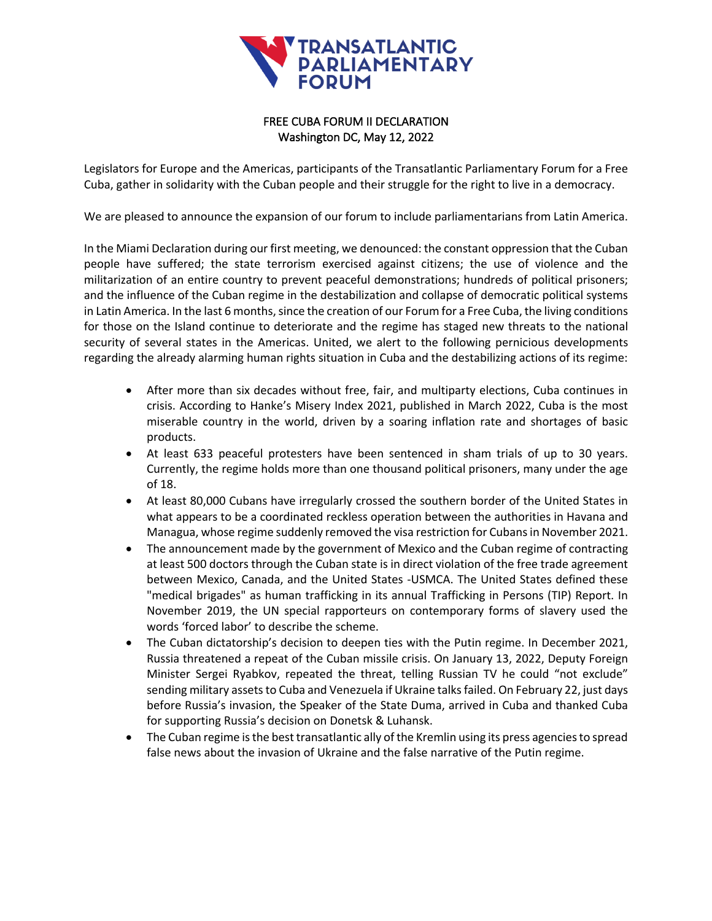

## FREE CUBA FORUM II DECLARATION Washington DC, May 12, 2022

Legislators for Europe and the Americas, participants of the Transatlantic Parliamentary Forum for a Free Cuba, gather in solidarity with the Cuban people and their struggle for the right to live in a democracy.

We are pleased to announce the expansion of our forum to include parliamentarians from Latin America.

In the Miami Declaration during our first meeting, we denounced: the constant oppression that the Cuban people have suffered; the state terrorism exercised against citizens; the use of violence and the militarization of an entire country to prevent peaceful demonstrations; hundreds of political prisoners; and the influence of the Cuban regime in the destabilization and collapse of democratic political systems in Latin America. In the last 6 months, since the creation of our Forum for a Free Cuba, the living conditions for those on the Island continue to deteriorate and the regime has staged new threats to the national security of several states in the Americas. United, we alert to the following pernicious developments regarding the already alarming human rights situation in Cuba and the destabilizing actions of its regime:

- After more than six decades without free, fair, and multiparty elections, Cuba continues in crisis. According to Hanke's Misery Index 2021, published in March 2022, Cuba is the most miserable country in the world, driven by a soaring inflation rate and shortages of basic products.
- At least 633 peaceful protesters have been sentenced in sham trials of up to 30 years. Currently, the regime holds more than one thousand political prisoners, many under the age of 18.
- At least 80,000 Cubans have irregularly crossed the southern border of the United States in what appears to be a coordinated reckless operation between the authorities in Havana and Managua, whose regime suddenly removed the visa restriction for Cubans in November 2021.
- The announcement made by the government of Mexico and the Cuban regime of contracting at least 500 doctors through the Cuban state is in direct violation of the free trade agreement between Mexico, Canada, and the United States -USMCA. The United States defined these "medical brigades" as human trafficking in its annual Trafficking in Persons (TIP) Report. In November 2019, the UN special rapporteurs on contemporary forms of slavery used the words 'forced labor' to describe the scheme.
- The Cuban dictatorship's decision to deepen ties with the Putin regime. In December 2021, Russia threatened a repeat of the Cuban missile crisis. On January 13, 2022, Deputy Foreign Minister Sergei Ryabkov, repeated the threat, telling Russian TV he could "not exclude" sending military assets to Cuba and Venezuela if Ukraine talks failed. On February 22, just days before Russia's invasion, the Speaker of the State Duma, arrived in Cuba and thanked Cuba for supporting Russia's decision on Donetsk & Luhansk.
- The Cuban regime is the best transatlantic ally of the Kremlin using its press agencies to spread false news about the invasion of Ukraine and the false narrative of the Putin regime.